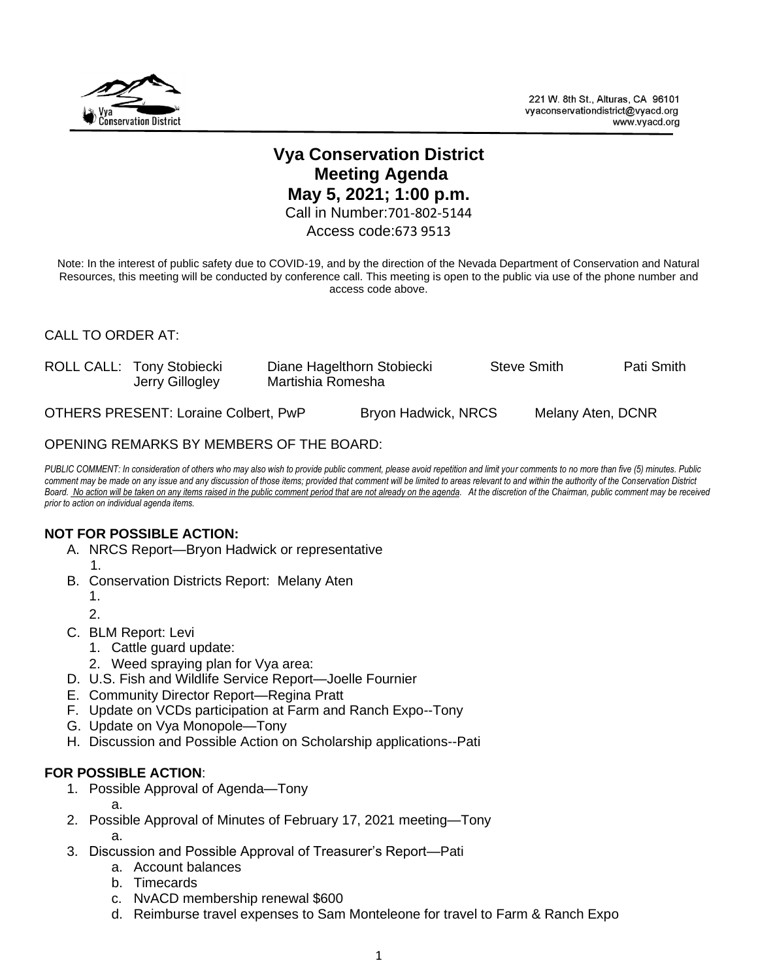

# **Vya Conservation District Meeting Agenda May 5, 2021; 1:00 p.m.**

Call in Number:701-802-5144

Access code:673 9513

Note: In the interest of public safety due to COVID-19, and by the direction of the Nevada Department of Conservation and Natural Resources, this meeting will be conducted by conference call. This meeting is open to the public via use of the phone number and access code above.

## CALL TO ORDER AT:

| ROLL CALL: Tony Stobiecki<br>Jerry Gillogley | Diane Hagelthorn Stobiecki<br>Martishia Romesha |  | Steve Smith       | Pati Smith |
|----------------------------------------------|-------------------------------------------------|--|-------------------|------------|
| OTHERS PRESENT: Loraine Colbert, PwP         | Bryon Hadwick, NRCS                             |  | Melany Aten, DCNR |            |

## OPENING REMARKS BY MEMBERS OF THE BOARD:

*PUBLIC COMMENT: In consideration of others who may also wish to provide public comment, please avoid repetition and limit your comments to no more than five (5) minutes. Public comment may be made on any issue and any discussion of those items; provided that comment will be limited to areas relevant to and within the authority of the Conservation District*  Board. No action will be taken on any items raised in the public comment period that are not already on the agenda. At the discretion of the Chairman, public comment may be received *prior to action on individual agenda items.* 

## **NOT FOR POSSIBLE ACTION:**

- A. NRCS Report—Bryon Hadwick or representative  $1.$ 
	-
	- B. Conservation Districts Report: Melany Aten
		- 1.
		- 2.
	- C. BLM Report: Levi
		- 1. Cattle guard update:
		- 2. Weed spraying plan for Vya area:
	- D. U.S. Fish and Wildlife Service Report—Joelle Fournier
	- E. Community Director Report—Regina Pratt
	- F. Update on VCDs participation at Farm and Ranch Expo--Tony
	- G. Update on Vya Monopole—Tony
	- H. Discussion and Possible Action on Scholarship applications--Pati

## **FOR POSSIBLE ACTION**:

- 1. Possible Approval of Agenda—Tony a.
- 2. Possible Approval of Minutes of February 17, 2021 meeting—Tony a.
- 3. Discussion and Possible Approval of Treasurer's Report—Pati
	- a. Account balances
	- b. Timecards
	- c. NvACD membership renewal \$600
	- d. Reimburse travel expenses to Sam Monteleone for travel to Farm & Ranch Expo